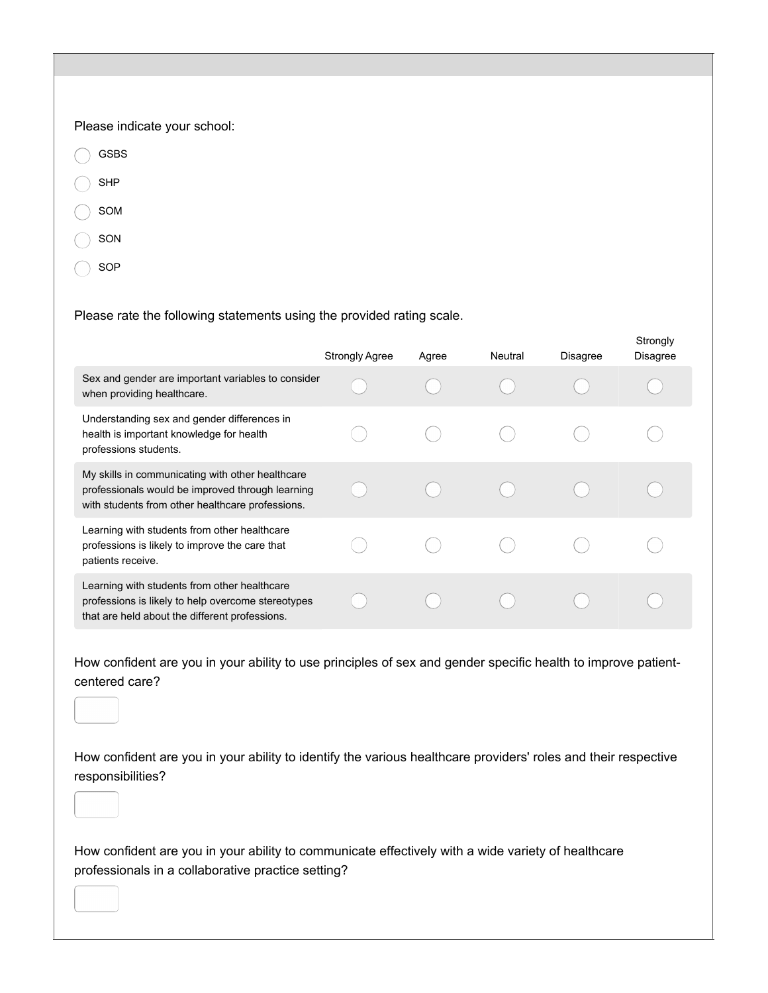## Please indicate your school:

- GSBS
- SHP
- SOM
- SON
- SOP

## Please rate the following statements using the provided rating scale.

|                                                                                                                                                          | <b>Strongly Agree</b> | Agree | Neutral | Disagree | Strongly<br>Disagree |
|----------------------------------------------------------------------------------------------------------------------------------------------------------|-----------------------|-------|---------|----------|----------------------|
| Sex and gender are important variables to consider<br>when providing healthcare.                                                                         |                       |       |         |          |                      |
| Understanding sex and gender differences in<br>health is important knowledge for health<br>professions students.                                         |                       |       |         |          |                      |
| My skills in communicating with other healthcare<br>professionals would be improved through learning<br>with students from other healthcare professions. |                       |       |         |          |                      |
| Learning with students from other healthcare<br>professions is likely to improve the care that<br>patients receive.                                      |                       |       |         |          |                      |
| Learning with students from other healthcare<br>professions is likely to help overcome stereotypes<br>that are held about the different professions.     |                       |       |         |          |                      |

How confident are you in your ability to use principles of sex and gender specific health to improve patientcentered care?

How confident are you in your ability to identify the various healthcare providers' roles and their respective responsibilities?

How confident are you in your ability to communicate effectively with a wide variety of healthcare professionals in a collaborative practice setting?